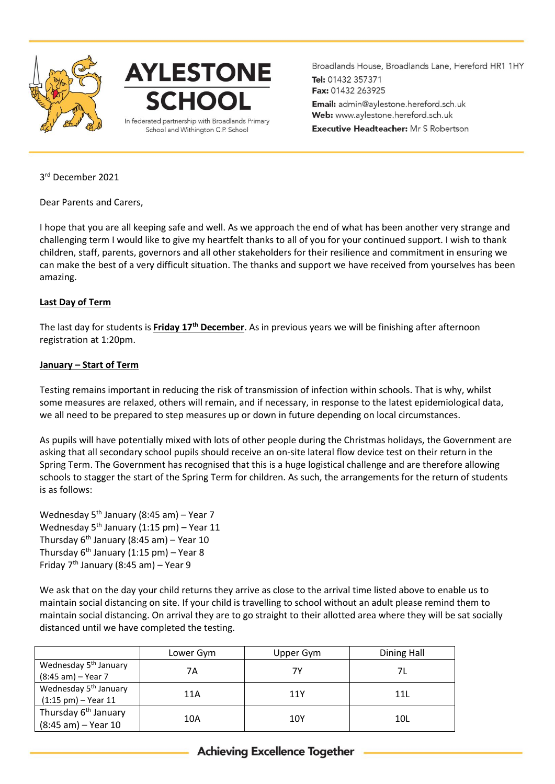



Broadlands House, Broadlands Lane, Hereford HR1 1HY Tel: 01432 357371 Fax: 01432 263925 Email: admin@aylestone.hereford.sch.uk Web: www.aylestone.hereford.sch.uk **Executive Headteacher:** Mr S Robertson

3 rd December 2021

Dear Parents and Carers,

I hope that you are all keeping safe and well. As we approach the end of what has been another very strange and challenging term I would like to give my heartfelt thanks to all of you for your continued support. I wish to thank children, staff, parents, governors and all other stakeholders for their resilience and commitment in ensuring we can make the best of a very difficult situation. The thanks and support we have received from yourselves has been amazing.

## **Last Day of Term**

The last day for students is **Friday 17th December**. As in previous years we will be finishing after afternoon registration at 1:20pm.

## **January – Start of Term**

Testing remains important in reducing the risk of transmission of infection within schools. That is why, whilst some measures are relaxed, others will remain, and if necessary, in response to the latest epidemiological data, we all need to be prepared to step measures up or down in future depending on local circumstances.

As pupils will have potentially mixed with lots of other people during the Christmas holidays, the Government are asking that all secondary school pupils should receive an on-site lateral flow device test on their return in the Spring Term. The Government has recognised that this is a huge logistical challenge and are therefore allowing schools to stagger the start of the Spring Term for children. As such, the arrangements for the return of students is as follows:

Wednesday  $5^{th}$  January (8:45 am) – Year 7 Wednesday  $5<sup>th</sup>$  January (1:15 pm) – Year 11 Thursday  $6<sup>th</sup>$  January (8:45 am) – Year 10 Thursday  $6<sup>th</sup>$  January (1:15 pm) – Year 8 Friday  $7<sup>th</sup>$  January (8:45 am) – Year 9

We ask that on the day your child returns they arrive as close to the arrival time listed above to enable us to maintain social distancing on site. If your child is travelling to school without an adult please remind them to maintain social distancing. On arrival they are to go straight to their allotted area where they will be sat socially distanced until we have completed the testing.

|                                      | Lower Gym | Upper Gym | Dining Hall     |
|--------------------------------------|-----------|-----------|-----------------|
| Wednesday 5 <sup>th</sup> January    | 7Α        | 7Υ        |                 |
| (8:45 am) - Year 7                   |           |           |                 |
| Wednesday 5 <sup>th</sup> January    | 11A       | 11Y       | 11 <sub>L</sub> |
| $(1:15 \text{ pm}) - \text{Year} 11$ |           |           |                 |
| Thursday 6 <sup>th</sup> January     | 10A       | 10Y       | 10 <sub>L</sub> |
| (8:45 am) - Year 10                  |           |           |                 |

## **Achieving Excellence Together**